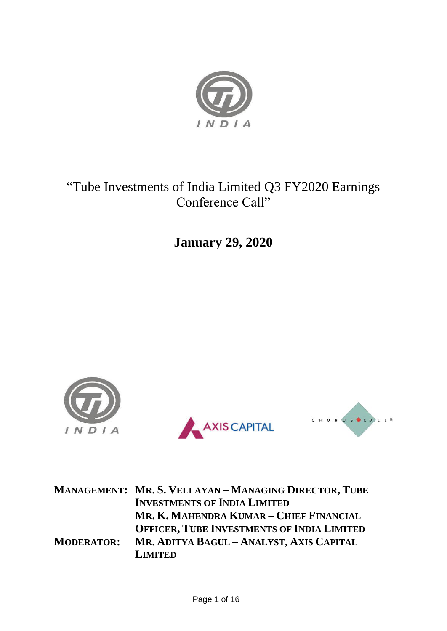

# "Tube Investments of India Limited Q3 FY2020 Earnings Conference Call"

**January 29, 2020**



|                   | <b>MANAGEMENT: MR. S. VELLAYAN - MANAGING DIRECTOR, TUBE</b> |
|-------------------|--------------------------------------------------------------|
|                   | <b>INVESTMENTS OF INDIA LIMITED</b>                          |
|                   | MR. K. MAHENDRA KUMAR - CHIEF FINANCIAL                      |
|                   | <b>OFFICER, TUBE INVESTMENTS OF INDIA LIMITED</b>            |
| <b>MODERATOR:</b> | MR. ADITYA BAGUL - ANALYST, AXIS CAPITAL                     |
|                   | <b>LIMITED</b>                                               |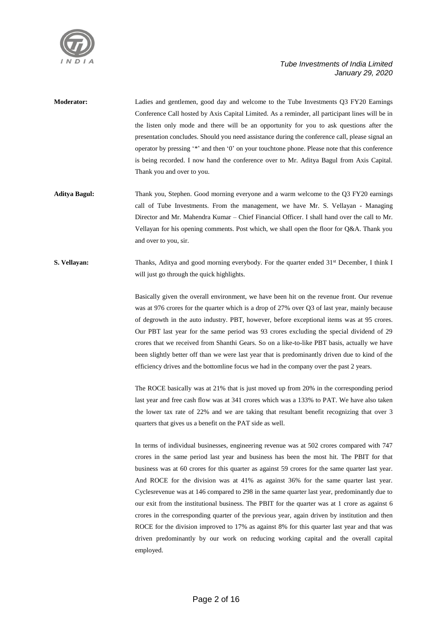

- **Moderator:** Ladies and gentlemen, good day and welcome to the Tube Investments Q3 FY20 Earnings Conference Call hosted by Axis Capital Limited. As a reminder, all participant lines will be in the listen only mode and there will be an opportunity for you to ask questions after the presentation concludes. Should you need assistance during the conference call, please signal an operator by pressing '\*' and then '0' on your touchtone phone. Please note that this conference is being recorded. I now hand the conference over to Mr. Aditya Bagul from Axis Capital. Thank you and over to you.
- **Aditya Bagul:** Thank you, Stephen. Good morning everyone and a warm welcome to the Q3 FY20 earnings call of Tube Investments. From the management, we have Mr. S. Vellayan - Managing Director and Mr. Mahendra Kumar – Chief Financial Officer. I shall hand over the call to Mr. Vellayan for his opening comments. Post which, we shall open the floor for Q&A. Thank you and over to you, sir.

**S. Vellayan:** Thanks, Aditya and good morning everybody. For the quarter ended 31<sup>st</sup> December, I think I will just go through the quick highlights.

> Basically given the overall environment, we have been hit on the revenue front. Our revenue was at 976 crores for the quarter which is a drop of 27% over Q3 of last year, mainly because of degrowth in the auto industry. PBT, however, before exceptional items was at 95 crores. Our PBT last year for the same period was 93 crores excluding the special dividend of 29 crores that we received from Shanthi Gears. So on a like-to-like PBT basis, actually we have been slightly better off than we were last year that is predominantly driven due to kind of the efficiency drives and the bottomline focus we had in the company over the past 2 years.

> The ROCE basically was at 21% that is just moved up from 20% in the corresponding period last year and free cash flow was at 341 crores which was a 133% to PAT. We have also taken the lower tax rate of 22% and we are taking that resultant benefit recognizing that over 3 quarters that gives us a benefit on the PAT side as well.

> In terms of individual businesses, engineering revenue was at 502 crores compared with 747 crores in the same period last year and business has been the most hit. The PBIT for that business was at 60 crores for this quarter as against 59 crores for the same quarter last year. And ROCE for the division was at 41% as against 36% for the same quarter last year. Cyclesrevenue was at 146 compared to 298 in the same quarter last year, predominantly due to our exit from the institutional business. The PBIT for the quarter was at 1 crore as against 6 crores in the corresponding quarter of the previous year, again driven by institution and then ROCE for the division improved to 17% as against 8% for this quarter last year and that was driven predominantly by our work on reducing working capital and the overall capital employed.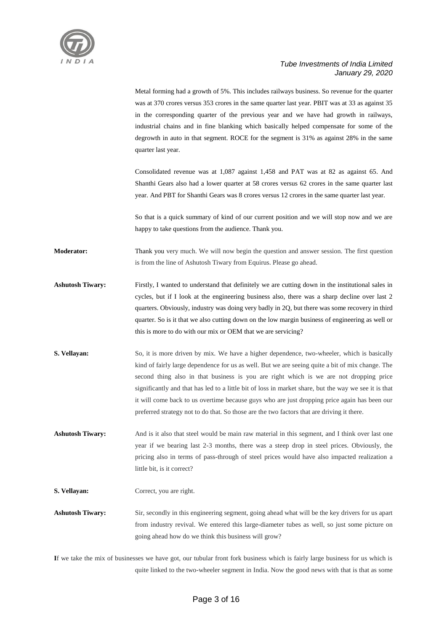

Metal forming had a growth of 5%. This includes railways business. So revenue for the quarter was at 370 crores versus 353 crores in the same quarter last year. PBIT was at 33 as against 35 in the corresponding quarter of the previous year and we have had growth in railways, industrial chains and in fine blanking which basically helped compensate for some of the degrowth in auto in that segment. ROCE for the segment is 31% as against 28% in the same quarter last year.

Consolidated revenue was at 1,087 against 1,458 and PAT was at 82 as against 65. And Shanthi Gears also had a lower quarter at 58 crores versus 62 crores in the same quarter last year. And PBT for Shanthi Gears was 8 crores versus 12 crores in the same quarter last year.

So that is a quick summary of kind of our current position and we will stop now and we are happy to take questions from the audience. Thank you.

**Moderator:** Thank you very much. We will now begin the question and answer session. The first question is from the line of Ashutosh Tiwary from Equirus. Please go ahead.

- Ashutosh Tiwary: Firstly, I wanted to understand that definitely we are cutting down in the institutional sales in cycles, but if I look at the engineering business also, there was a sharp decline over last 2 quarters. Obviously, industry was doing very badly in 2Q, but there was some recovery in third quarter. So is it that we also cutting down on the low margin business of engineering as well or this is more to do with our mix or OEM that we are servicing?
- **S. Vellayan:** So, it is more driven by mix. We have a higher dependence, two-wheeler, which is basically kind of fairly large dependence for us as well. But we are seeing quite a bit of mix change. The second thing also in that business is you are right which is we are not dropping price significantly and that has led to a little bit of loss in market share, but the way we see it is that it will come back to us overtime because guys who are just dropping price again has been our preferred strategy not to do that. So those are the two factors that are driving it there.

**Ashutosh Tiwary:** And is it also that steel would be main raw material in this segment, and I think over last one year if we bearing last 2-3 months, there was a steep drop in steel prices. Obviously, the pricing also in terms of pass-through of steel prices would have also impacted realization a little bit, is it correct?

**S. Vellayan:** Correct, you are right.

**Ashutosh Tiwary:** Sir, secondly in this engineering segment, going ahead what will be the key drivers for us apart from industry revival. We entered this large-diameter tubes as well, so just some picture on going ahead how do we think this business will grow?

**I**f we take the mix of businesses we have got, our tubular front fork business which is fairly large business for us which is quite linked to the two-wheeler segment in India. Now the good news with that is that as some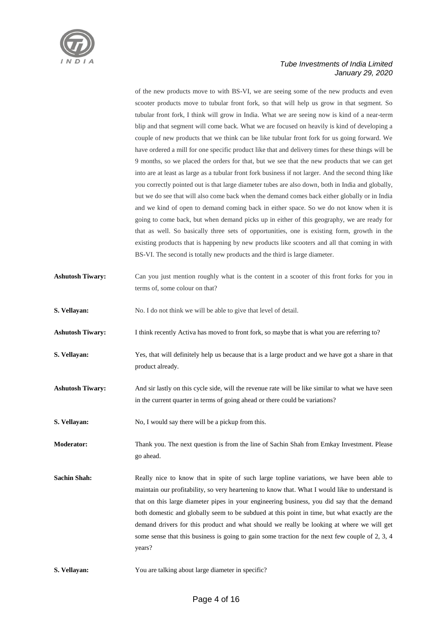

of the new products move to with BS-VI, we are seeing some of the new products and even scooter products move to tubular front fork, so that will help us grow in that segment. So tubular front fork, I think will grow in India. What we are seeing now is kind of a near-term blip and that segment will come back. What we are focused on heavily is kind of developing a couple of new products that we think can be like tubular front fork for us going forward. We have ordered a mill for one specific product like that and delivery times for these things will be 9 months, so we placed the orders for that, but we see that the new products that we can get into are at least as large as a tubular front fork business if not larger. And the second thing like you correctly pointed out is that large diameter tubes are also down, both in India and globally, but we do see that will also come back when the demand comes back either globally or in India and we kind of open to demand coming back in either space. So we do not know when it is going to come back, but when demand picks up in either of this geography, we are ready for that as well. So basically three sets of opportunities, one is existing form, growth in the existing products that is happening by new products like scooters and all that coming in with BS-VI. The second is totally new products and the third is large diameter.

- **Ashutosh Tiwary:** Can you just mention roughly what is the content in a scooter of this front forks for you in terms of, some colour on that?
- **S. Vellayan:** No. I do not think we will be able to give that level of detail.
- **Ashutosh Tiwary:** I think recently Activa has moved to front fork, so maybe that is what you are referring to?
- **S. Vellayan:** Yes, that will definitely help us because that is a large product and we have got a share in that product already.
- Ashutosh Tiwary: And sir lastly on this cycle side, will the revenue rate will be like similar to what we have seen in the current quarter in terms of going ahead or there could be variations?
- **S. Vellayan:** No, I would say there will be a pickup from this.
- **Moderator:** Thank you. The next question is from the line of Sachin Shah from Emkay Investment. Please go ahead.
- Sachin Shah: Really nice to know that in spite of such large topline variations, we have been able to maintain our profitability, so very heartening to know that. What I would like to understand is that on this large diameter pipes in your engineering business, you did say that the demand both domestic and globally seem to be subdued at this point in time, but what exactly are the demand drivers for this product and what should we really be looking at where we will get some sense that this business is going to gain some traction for the next few couple of 2, 3, 4 years?
- **S. Vellayan:** You are talking about large diameter in specific?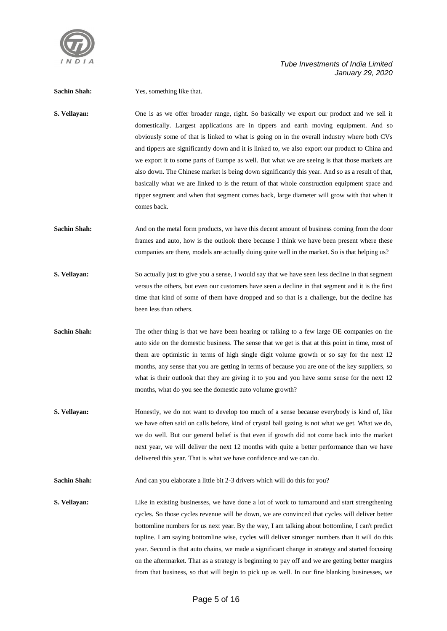

**Sachin Shah:** Yes, something like that. **S. Vellayan:** One is as we offer broader range, right. So basically we export our product and we sell it domestically. Largest applications are in tippers and earth moving equipment. And so obviously some of that is linked to what is going on in the overall industry where both CVs and tippers are significantly down and it is linked to, we also export our product to China and we export it to some parts of Europe as well. But what we are seeing is that those markets are also down. The Chinese market is being down significantly this year. And so as a result of that, basically what we are linked to is the return of that whole construction equipment space and tipper segment and when that segment comes back, large diameter will grow with that when it comes back. **Sachin Shah:** And on the metal form products, we have this decent amount of business coming from the door frames and auto, how is the outlook there because I think we have been present where these companies are there, models are actually doing quite well in the market. So is that helping us? **S. Vellayan:** So actually just to give you a sense, I would say that we have seen less decline in that segment versus the others, but even our customers have seen a decline in that segment and it is the first time that kind of some of them have dropped and so that is a challenge, but the decline has been less than others. **Sachin Shah:** The other thing is that we have been hearing or talking to a few large OE companies on the auto side on the domestic business. The sense that we get is that at this point in time, most of them are optimistic in terms of high single digit volume growth or so say for the next 12 months, any sense that you are getting in terms of because you are one of the key suppliers, so what is their outlook that they are giving it to you and you have some sense for the next 12 months, what do you see the domestic auto volume growth? **S. Vellayan:** Honestly, we do not want to develop too much of a sense because everybody is kind of, like we have often said on calls before, kind of crystal ball gazing is not what we get. What we do, we do well. But our general belief is that even if growth did not come back into the market next year, we will deliver the next 12 months with quite a better performance than we have delivered this year. That is what we have confidence and we can do. Sachin Shah: And can you elaborate a little bit 2-3 drivers which will do this for you? **S. Vellayan:** Like in existing businesses, we have done a lot of work to turnaround and start strengthening cycles. So those cycles revenue will be down, we are convinced that cycles will deliver better bottomline numbers for us next year. By the way, I am talking about bottomline, I can't predict topline. I am saying bottomline wise, cycles will deliver stronger numbers than it will do this year. Second is that auto chains, we made a significant change in strategy and started focusing on the aftermarket. That as a strategy is beginning to pay off and we are getting better margins from that business, so that will begin to pick up as well. In our fine blanking businesses, we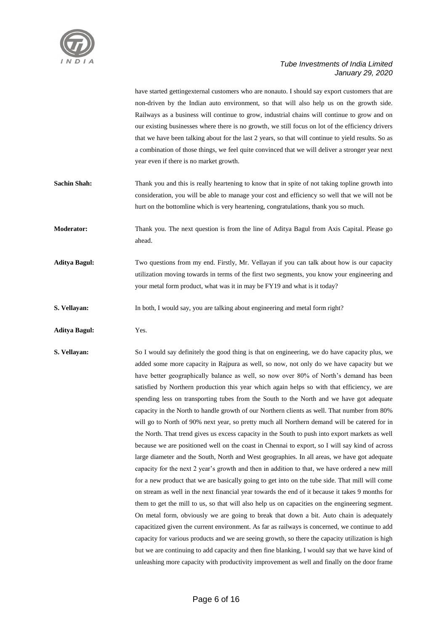

have started gettingexternal customers who are nonauto. I should say export customers that are non-driven by the Indian auto environment, so that will also help us on the growth side. Railways as a business will continue to grow, industrial chains will continue to grow and on our existing businesses where there is no growth, we still focus on lot of the efficiency drivers that we have been talking about for the last 2 years, so that will continue to yield results. So as a combination of those things, we feel quite convinced that we will deliver a stronger year next year even if there is no market growth.

**Sachin Shah:** Thank you and this is really heartening to know that in spite of not taking topline growth into consideration, you will be able to manage your cost and efficiency so well that we will not be hurt on the bottomline which is very heartening, congratulations, thank you so much.

**Moderator:** Thank you. The next question is from the line of Aditya Bagul from Axis Capital. Please go ahead.

**Aditya Bagul:** Two questions from my end. Firstly, Mr. Vellayan if you can talk about how is our capacity utilization moving towards in terms of the first two segments, you know your engineering and your metal form product, what was it in may be FY19 and what is it today?

**S. Vellayan:** In both, I would say, you are talking about engineering and metal form right?

**Aditya Bagul:** Yes.

**S. Vellayan:** So I would say definitely the good thing is that on engineering, we do have capacity plus, we added some more capacity in Rajpura as well, so now, not only do we have capacity but we have better geographically balance as well, so now over 80% of North's demand has been satisfied by Northern production this year which again helps so with that efficiency, we are spending less on transporting tubes from the South to the North and we have got adequate capacity in the North to handle growth of our Northern clients as well. That number from 80% will go to North of 90% next year, so pretty much all Northern demand will be catered for in the North. That trend gives us excess capacity in the South to push into export markets as well because we are positioned well on the coast in Chennai to export, so I will say kind of across large diameter and the South, North and West geographies. In all areas, we have got adequate capacity for the next 2 year's growth and then in addition to that, we have ordered a new mill for a new product that we are basically going to get into on the tube side. That mill will come on stream as well in the next financial year towards the end of it because it takes 9 months for them to get the mill to us, so that will also help us on capacities on the engineering segment. On metal form, obviously we are going to break that down a bit. Auto chain is adequately capacitized given the current environment. As far as railways is concerned, we continue to add capacity for various products and we are seeing growth, so there the capacity utilization is high but we are continuing to add capacity and then fine blanking, I would say that we have kind of unleashing more capacity with productivity improvement as well and finally on the door frame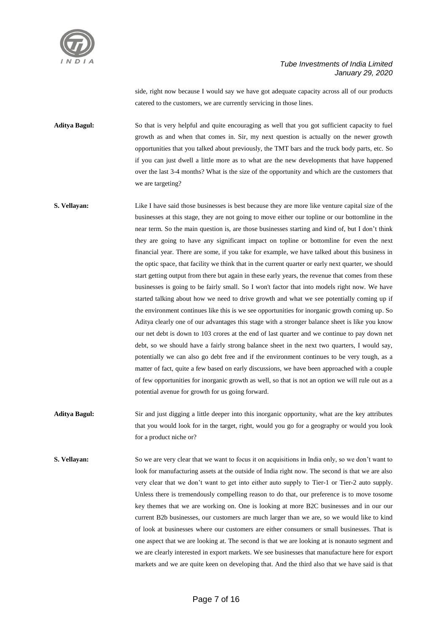

side, right now because I would say we have got adequate capacity across all of our products catered to the customers, we are currently servicing in those lines.

**Aditya Bagul:** So that is very helpful and quite encouraging as well that you got sufficient capacity to fuel growth as and when that comes in. Sir, my next question is actually on the newer growth opportunities that you talked about previously, the TMT bars and the truck body parts, etc. So if you can just dwell a little more as to what are the new developments that have happened over the last 3-4 months? What is the size of the opportunity and which are the customers that we are targeting?

- **S. Vellayan:** Like I have said those businesses is best because they are more like venture capital size of the businesses at this stage, they are not going to move either our topline or our bottomline in the near term. So the main question is, are those businesses starting and kind of, but I don't think they are going to have any significant impact on topline or bottomline for even the next financial year. There are some, if you take for example, we have talked about this business in the optic space, that facility we think that in the current quarter or early next quarter, we should start getting output from there but again in these early years, the revenue that comes from these businesses is going to be fairly small. So I won't factor that into models right now. We have started talking about how we need to drive growth and what we see potentially coming up if the environment continues like this is we see opportunities for inorganic growth coming up. So Aditya clearly one of our advantages this stage with a stronger balance sheet is like you know our net debt is down to 103 crores at the end of last quarter and we continue to pay down net debt, so we should have a fairly strong balance sheet in the next two quarters, I would say, potentially we can also go debt free and if the environment continues to be very tough, as a matter of fact, quite a few based on early discussions, we have been approached with a couple of few opportunities for inorganic growth as well, so that is not an option we will rule out as a potential avenue for growth for us going forward.
- **Aditya Bagul:** Sir and just digging a little deeper into this inorganic opportunity, what are the key attributes that you would look for in the target, right, would you go for a geography or would you look for a product niche or?
- **S. Vellayan:** So we are very clear that we want to focus it on acquisitions in India only, so we don't want to look for manufacturing assets at the outside of India right now. The second is that we are also very clear that we don't want to get into either auto supply to Tier-1 or Tier-2 auto supply. Unless there is tremendously compelling reason to do that, our preference is to move tosome key themes that we are working on. One is looking at more B2C businesses and in our our current B2b businesses, our customers are much larger than we are, so we would like to kind of look at businesses where our customers are either consumers or small businesses. That is one aspect that we are looking at. The second is that we are looking at is nonauto segment and we are clearly interested in export markets. We see businesses that manufacture here for export markets and we are quite keen on developing that. And the third also that we have said is that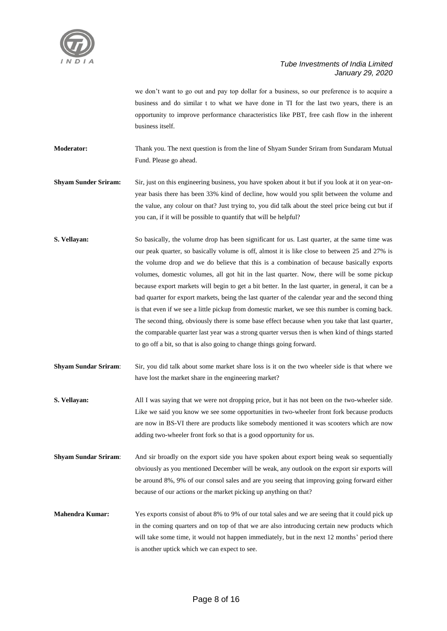

we don't want to go out and pay top dollar for a business, so our preference is to acquire a business and do similar t to what we have done in TI for the last two years, there is an opportunity to improve performance characteristics like PBT, free cash flow in the inherent business itself.

**Moderator:** Thank you. The next question is from the line of Shyam Sunder Sriram from Sundaram Mutual Fund. Please go ahead.

**Shyam Sunder Sriram:** Sir, just on this engineering business, you have spoken about it but if you look at it on year-onyear basis there has been 33% kind of decline, how would you split between the volume and the value, any colour on that? Just trying to, you did talk about the steel price being cut but if you can, if it will be possible to quantify that will be helpful?

- **S. Vellayan:** So basically, the volume drop has been significant for us. Last quarter, at the same time was our peak quarter, so basically volume is off, almost it is like close to between 25 and 27% is the volume drop and we do believe that this is a combination of because basically exports volumes, domestic volumes, all got hit in the last quarter. Now, there will be some pickup because export markets will begin to get a bit better. In the last quarter, in general, it can be a bad quarter for export markets, being the last quarter of the calendar year and the second thing is that even if we see a little pickup from domestic market, we see this number is coming back. The second thing, obviously there is some base effect because when you take that last quarter, the comparable quarter last year was a strong quarter versus then is when kind of things started to go off a bit, so that is also going to change things going forward.
- **Shyam Sundar Sriram**: Sir, you did talk about some market share loss is it on the two wheeler side is that where we have lost the market share in the engineering market?
- **S. Vellayan:** All I was saying that we were not dropping price, but it has not been on the two-wheeler side. Like we said you know we see some opportunities in two-wheeler front fork because products are now in BS-VI there are products like somebody mentioned it was scooters which are now adding two-wheeler front fork so that is a good opportunity for us.
- **Shyam Sundar Sriram**: And sir broadly on the export side you have spoken about export being weak so sequentially obviously as you mentioned December will be weak, any outlook on the export sir exports will be around 8%, 9% of our consol sales and are you seeing that improving going forward either because of our actions or the market picking up anything on that?
- **Mahendra Kumar:** Yes exports consist of about 8% to 9% of our total sales and we are seeing that it could pick up in the coming quarters and on top of that we are also introducing certain new products which will take some time, it would not happen immediately, but in the next 12 months' period there is another uptick which we can expect to see.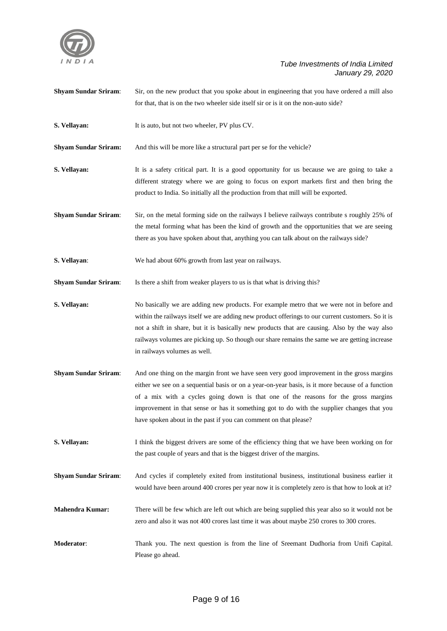

**Shyam Sundar Sriram:** Sir, on the new product that you spoke about in engineering that you have ordered a mill also for that, that is on the two wheeler side itself sir or is it on the non-auto side? **S. Vellayan:** It is auto, but not two wheeler, PV plus CV. **Shyam Sundar Sriram:** And this will be more like a structural part per se for the vehicle? **S. Vellayan:** It is a safety critical part. It is a good opportunity for us because we are going to take a different strategy where we are going to focus on export markets first and then bring the product to India. So initially all the production from that mill will be exported. **Shyam Sundar Sriram**: Sir, on the metal forming side on the railways I believe railways contribute s roughly 25% of the metal forming what has been the kind of growth and the opportunities that we are seeing there as you have spoken about that, anything you can talk about on the railways side? **S. Vellayan**: We had about 60% growth from last year on railways. **Shyam Sundar Sriram:** Is there a shift from weaker players to us is that what is driving this? **S. Vellayan:** No basically we are adding new products. For example metro that we were not in before and within the railways itself we are adding new product offerings to our current customers. So it is not a shift in share, but it is basically new products that are causing. Also by the way also railways volumes are picking up. So though our share remains the same we are getting increase in railways volumes as well. **Shyam Sundar Sriram**: And one thing on the margin front we have seen very good improvement in the gross margins either we see on a sequential basis or on a year-on-year basis, is it more because of a function of a mix with a cycles going down is that one of the reasons for the gross margins improvement in that sense or has it something got to do with the supplier changes that you have spoken about in the past if you can comment on that please? **S. Vellayan:** I think the biggest drivers are some of the efficiency thing that we have been working on for the past couple of years and that is the biggest driver of the margins. **Shyam Sundar Sriram**: And cycles if completely exited from institutional business, institutional business earlier it would have been around 400 crores per year now it is completely zero is that how to look at it? **Mahendra Kumar:** There will be few which are left out which are being supplied this year also so it would not be zero and also it was not 400 crores last time it was about maybe 250 crores to 300 crores. **Moderator**: Thank you. The next question is from the line of Sreemant Dudhoria from Unifi Capital. Please go ahead.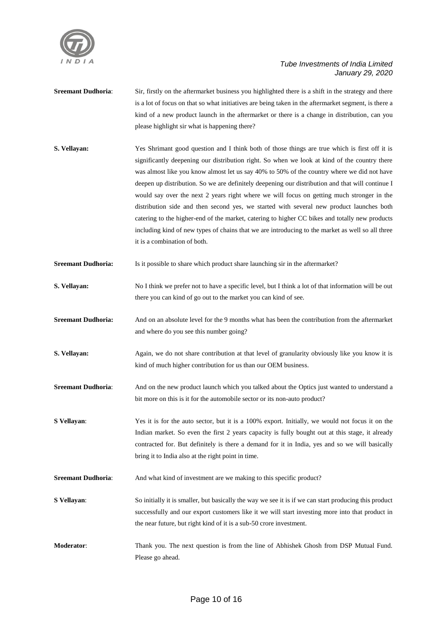

- **Sreemant Dudhoria:** Sir, firstly on the aftermarket business you highlighted there is a shift in the strategy and there is a lot of focus on that so what initiatives are being taken in the aftermarket segment, is there a kind of a new product launch in the aftermarket or there is a change in distribution, can you please highlight sir what is happening there?
- **S. Vellayan:** Yes Shrimant good question and I think both of those things are true which is first off it is significantly deepening our distribution right. So when we look at kind of the country there was almost like you know almost let us say 40% to 50% of the country where we did not have deepen up distribution. So we are definitely deepening our distribution and that will continue I would say over the next 2 years right where we will focus on getting much stronger in the distribution side and then second yes, we started with several new product launches both catering to the higher-end of the market, catering to higher CC bikes and totally new products including kind of new types of chains that we are introducing to the market as well so all three it is a combination of both.
- **Sreemant Dudhoria:** Is it possible to share which product share launching sir in the aftermarket?
- **S. Vellayan:** No I think we prefer not to have a specific level, but I think a lot of that information will be out there you can kind of go out to the market you can kind of see.
- **Sreemant Dudhoria:** And on an absolute level for the 9 months what has been the contribution from the aftermarket and where do you see this number going?
- **S. Vellayan:** Again, we do not share contribution at that level of granularity obviously like you know it is kind of much higher contribution for us than our OEM business.
- **Sreemant Dudhoria:** And on the new product launch which you talked about the Optics just wanted to understand a bit more on this is it for the automobile sector or its non-auto product?
- **S Vellayan:** Yes it is for the auto sector, but it is a 100% export. Initially, we would not focus it on the Indian market. So even the first 2 years capacity is fully bought out at this stage, it already contracted for. But definitely is there a demand for it in India, yes and so we will basically bring it to India also at the right point in time.
- **Sreemant Dudhoria:** And what kind of investment are we making to this specific product?
- **S Vellayan:** So initially it is smaller, but basically the way we see it is if we can start producing this product successfully and our export customers like it we will start investing more into that product in the near future, but right kind of it is a sub-50 crore investment.
- **Moderator**: Thank you. The next question is from the line of Abhishek Ghosh from DSP Mutual Fund. Please go ahead.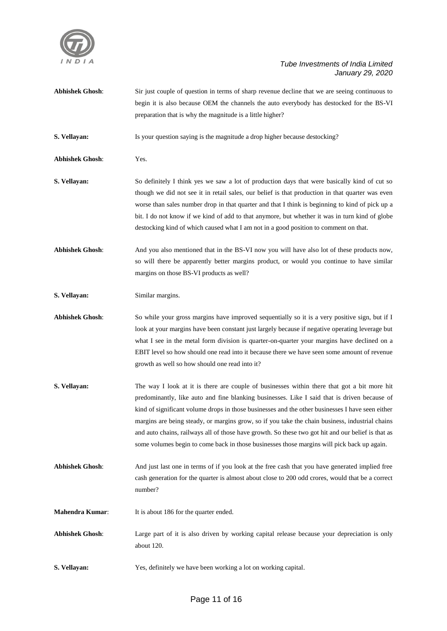

| <b>Abhishek Ghosh:</b> | Sir just couple of question in terms of sharp revenue decline that we are seeing continuous to<br>begin it is also because OEM the channels the auto everybody has destocked for the BS-VI<br>preparation that is why the magnitude is a little higher?                                                                                                                                                                                                                                                                                                                                                |
|------------------------|--------------------------------------------------------------------------------------------------------------------------------------------------------------------------------------------------------------------------------------------------------------------------------------------------------------------------------------------------------------------------------------------------------------------------------------------------------------------------------------------------------------------------------------------------------------------------------------------------------|
| S. Vellayan:           | Is your question saying is the magnitude a drop higher because destocking?                                                                                                                                                                                                                                                                                                                                                                                                                                                                                                                             |
| <b>Abhishek Ghosh:</b> | Yes.                                                                                                                                                                                                                                                                                                                                                                                                                                                                                                                                                                                                   |
| S. Vellayan:           | So definitely I think yes we saw a lot of production days that were basically kind of cut so<br>though we did not see it in retail sales, our belief is that production in that quarter was even<br>worse than sales number drop in that quarter and that I think is beginning to kind of pick up a<br>bit. I do not know if we kind of add to that anymore, but whether it was in turn kind of globe<br>destocking kind of which caused what I am not in a good position to comment on that.                                                                                                          |
| <b>Abhishek Ghosh:</b> | And you also mentioned that in the BS-VI now you will have also lot of these products now,<br>so will there be apparently better margins product, or would you continue to have similar<br>margins on those BS-VI products as well?                                                                                                                                                                                                                                                                                                                                                                    |
| S. Vellayan:           | Similar margins.                                                                                                                                                                                                                                                                                                                                                                                                                                                                                                                                                                                       |
| <b>Abhishek Ghosh:</b> | So while your gross margins have improved sequentially so it is a very positive sign, but if I<br>look at your margins have been constant just largely because if negative operating leverage but<br>what I see in the metal form division is quarter-on-quarter your margins have declined on a<br>EBIT level so how should one read into it because there we have seen some amount of revenue<br>growth as well so how should one read into it?                                                                                                                                                      |
| S. Vellayan:           | The way I look at it is there are couple of businesses within there that got a bit more hit<br>predominantly, like auto and fine blanking businesses. Like I said that is driven because of<br>kind of significant volume drops in those businesses and the other businesses I have seen either<br>margins are being steady, or margins grow, so if you take the chain business, industrial chains<br>and auto chains, railways all of those have growth. So these two got hit and our belief is that as<br>some volumes begin to come back in those businesses those margins will pick back up again. |
| <b>Abhishek Ghosh:</b> | And just last one in terms of if you look at the free cash that you have generated implied free<br>cash generation for the quarter is almost about close to 200 odd crores, would that be a correct<br>number?                                                                                                                                                                                                                                                                                                                                                                                         |
| Mahendra Kumar:        | It is about 186 for the quarter ended.                                                                                                                                                                                                                                                                                                                                                                                                                                                                                                                                                                 |
| <b>Abhishek Ghosh:</b> | Large part of it is also driven by working capital release because your depreciation is only<br>about 120.                                                                                                                                                                                                                                                                                                                                                                                                                                                                                             |
| S. Vellayan:           | Yes, definitely we have been working a lot on working capital.                                                                                                                                                                                                                                                                                                                                                                                                                                                                                                                                         |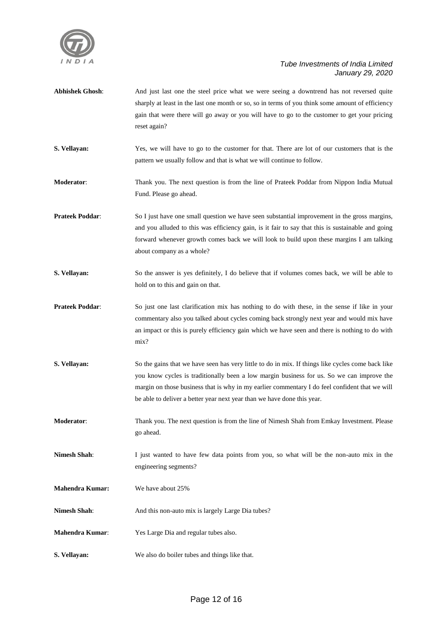

| <b>Abhishek Ghosh:</b> | And just last one the steel price what we were seeing a downtrend has not reversed quite<br>sharply at least in the last one month or so, so in terms of you think some amount of efficiency<br>gain that were there will go away or you will have to go to the customer to get your pricing<br>reset again?                                                                |
|------------------------|-----------------------------------------------------------------------------------------------------------------------------------------------------------------------------------------------------------------------------------------------------------------------------------------------------------------------------------------------------------------------------|
| S. Vellayan:           | Yes, we will have to go to the customer for that. There are lot of our customers that is the<br>pattern we usually follow and that is what we will continue to follow.                                                                                                                                                                                                      |
| <b>Moderator:</b>      | Thank you. The next question is from the line of Prateek Poddar from Nippon India Mutual<br>Fund. Please go ahead.                                                                                                                                                                                                                                                          |
| <b>Prateek Poddar:</b> | So I just have one small question we have seen substantial improvement in the gross margins,<br>and you alluded to this was efficiency gain, is it fair to say that this is sustainable and going<br>forward whenever growth comes back we will look to build upon these margins I am talking<br>about company as a whole?                                                  |
| S. Vellayan:           | So the answer is yes definitely, I do believe that if volumes comes back, we will be able to<br>hold on to this and gain on that.                                                                                                                                                                                                                                           |
| <b>Prateek Poddar:</b> | So just one last clarification mix has nothing to do with these, in the sense if like in your<br>commentary also you talked about cycles coming back strongly next year and would mix have<br>an impact or this is purely efficiency gain which we have seen and there is nothing to do with<br>mix?                                                                        |
| S. Vellayan:           | So the gains that we have seen has very little to do in mix. If things like cycles come back like<br>you know cycles is traditionally been a low margin business for us. So we can improve the<br>margin on those business that is why in my earlier commentary I do feel confident that we will<br>be able to deliver a better year next year than we have done this year. |
| <b>Moderator:</b>      | Thank you. The next question is from the line of Nimesh Shah from Emkay Investment. Please<br>go ahead.                                                                                                                                                                                                                                                                     |
| <b>Nimesh Shah:</b>    | I just wanted to have few data points from you, so what will be the non-auto mix in the<br>engineering segments?                                                                                                                                                                                                                                                            |
| <b>Mahendra Kumar:</b> | We have about 25%                                                                                                                                                                                                                                                                                                                                                           |
| <b>Nimesh Shah:</b>    | And this non-auto mix is largely Large Dia tubes?                                                                                                                                                                                                                                                                                                                           |
| <b>Mahendra Kumar:</b> | Yes Large Dia and regular tubes also.                                                                                                                                                                                                                                                                                                                                       |
| S. Vellayan:           | We also do boiler tubes and things like that.                                                                                                                                                                                                                                                                                                                               |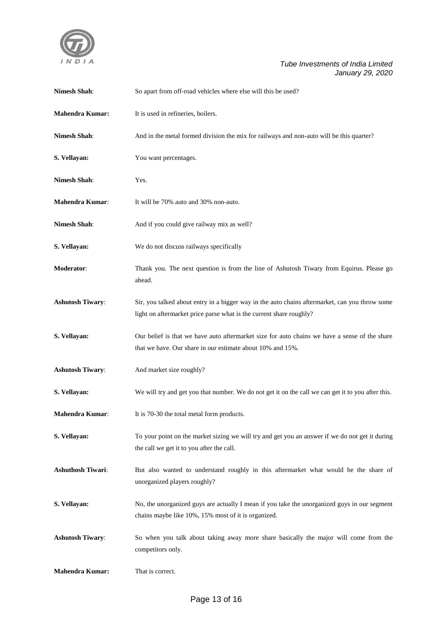

| <b>Nimesh Shah:</b>      | So apart from off-road vehicles where else will this be used?                                                                                                         |
|--------------------------|-----------------------------------------------------------------------------------------------------------------------------------------------------------------------|
| <b>Mahendra Kumar:</b>   | It is used in refineries, boilers.                                                                                                                                    |
| <b>Nimesh Shah:</b>      | And in the metal formed division the mix for railways and non-auto will be this quarter?                                                                              |
| S. Vellayan:             | You want percentages.                                                                                                                                                 |
| <b>Nimesh Shah:</b>      | Yes.                                                                                                                                                                  |
| <b>Mahendra Kumar:</b>   | It will be 70% auto and 30% non-auto.                                                                                                                                 |
| <b>Nimesh Shah:</b>      | And if you could give railway mix as well?                                                                                                                            |
| S. Vellayan:             | We do not discuss railways specifically                                                                                                                               |
| Moderator:               | Thank you. The next question is from the line of Ashutosh Tiwary from Equirus. Please go<br>ahead.                                                                    |
| <b>Ashutosh Tiwary:</b>  | Sir, you talked about entry in a bigger way in the auto chains aftermarket, can you throw some<br>light on aftermarket price parse what is the current share roughly? |
| S. Vellayan:             | Our belief is that we have auto aftermarket size for auto chains we have a sense of the share<br>that we have. Our share in our estimate about 10% and 15%.           |
| <b>Ashutosh Tiwary:</b>  | And market size roughly?                                                                                                                                              |
| S. Vellayan:             | We will try and get you that number. We do not get it on the call we can get it to you after this.                                                                    |
| <b>Mahendra Kumar:</b>   | It is 70-30 the total metal form products.                                                                                                                            |
| S. Vellavan:             | To your point on the market sizing we will try and get you an answer if we do not get it during<br>the call we get it to you after the call.                          |
| <b>Ashuthosh Tiwari:</b> | But also wanted to understand roughly in this aftermarket what would be the share of<br>unorganized players roughly?                                                  |
| S. Vellayan:             | No, the unorganized guys are actually I mean if you take the unorganized guys in our segment<br>chains maybe like 10%, 15% most of it is organized.                   |
| <b>Ashutosh Tiwary:</b>  | So when you talk about taking away more share basically the major will come from the<br>competitors only.                                                             |
| <b>Mahendra Kumar:</b>   | That is correct.                                                                                                                                                      |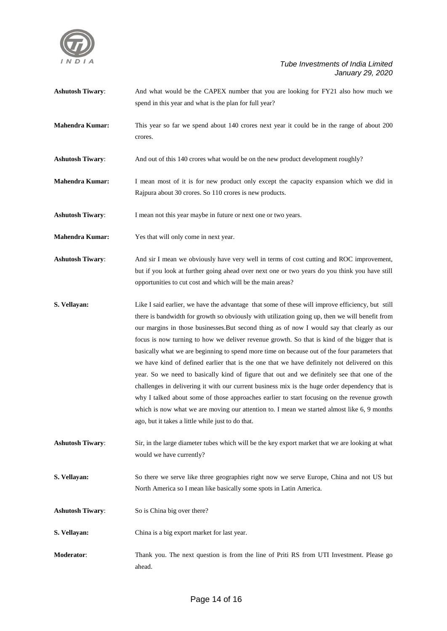

**Ashutosh Tiwary:** And what would be the CAPEX number that you are looking for FY21 also how much we spend in this year and what is the plan for full year?

- **Mahendra Kumar:** This year so far we spend about 140 crores next year it could be in the range of about 200 crores.
- **Ashutosh Tiwary:** And out of this 140 crores what would be on the new product development roughly?
- **Mahendra Kumar:** I mean most of it is for new product only except the capacity expansion which we did in Rajpura about 30 crores. So 110 crores is new products.

**Ashutosh Tiwary:** I mean not this year maybe in future or next one or two years.

**Mahendra Kumar:** Yes that will only come in next year.

**Ashutosh Tiwary**: And sir I mean we obviously have very well in terms of cost cutting and ROC improvement, but if you look at further going ahead over next one or two years do you think you have still opportunities to cut cost and which will be the main areas?

**S. Vellayan:** Like I said earlier, we have the advantage that some of these will improve efficiency, but still there is bandwidth for growth so obviously with utilization going up, then we will benefit from our margins in those businesses.But second thing as of now I would say that clearly as our focus is now turning to how we deliver revenue growth. So that is kind of the bigger that is basically what we are beginning to spend more time on because out of the four parameters that we have kind of defined earlier that is the one that we have definitely not delivered on this year. So we need to basically kind of figure that out and we definitely see that one of the challenges in delivering it with our current business mix is the huge order dependency that is why I talked about some of those approaches earlier to start focusing on the revenue growth which is now what we are moving our attention to. I mean we started almost like 6, 9 months ago, but it takes a little while just to do that.

**Ashutosh Tiwary**: Sir, in the large diameter tubes which will be the key export market that we are looking at what would we have currently?

**S. Vellayan:** So there we serve like three geographies right now we serve Europe, China and not US but North America so I mean like basically some spots in Latin America.

**Ashutosh Tiwary**: So is China big over there?

**S. Vellayan:** China is a big export market for last year.

**Moderator**: Thank you. The next question is from the line of Priti RS from UTI Investment. Please go ahead.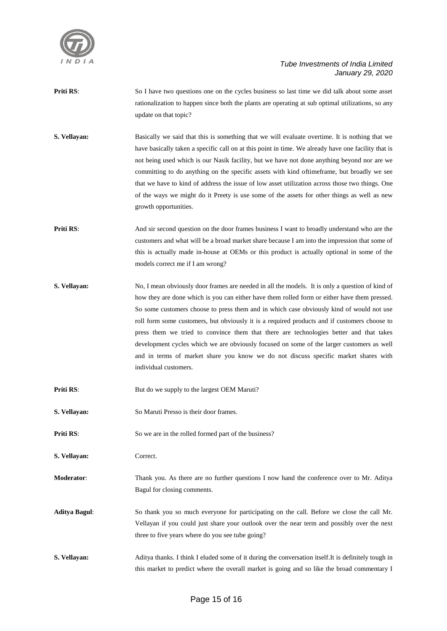

- **Priti RS:** So I have two questions one on the cycles business so last time we did talk about some asset rationalization to happen since both the plants are operating at sub optimal utilizations, so any update on that topic?
- **S. Vellayan:** Basically we said that this is something that we will evaluate overtime. It is nothing that we have basically taken a specific call on at this point in time. We already have one facility that is not being used which is our Nasik facility, but we have not done anything beyond nor are we committing to do anything on the specific assets with kind oftimeframe, but broadly we see that we have to kind of address the issue of low asset utilization across those two things. One of the ways we might do it Preety is use some of the assets for other things as well as new growth opportunities.
- **Priti RS:** And sir second question on the door frames business I want to broadly understand who are the customers and what will be a broad market share because I am into the impression that some of this is actually made in-house at OEMs or this product is actually optional in some of the models correct me if I am wrong?
- **S. Vellayan:** No, I mean obviously door frames are needed in all the models. It is only a question of kind of how they are done which is you can either have them rolled form or either have them pressed. So some customers choose to press them and in which case obviously kind of would not use roll form some customers, but obviously it is a required products and if customers choose to press them we tried to convince them that there are technologies better and that takes development cycles which we are obviously focused on some of the larger customers as well and in terms of market share you know we do not discuss specific market shares with individual customers.
- **Priti RS:** But do we supply to the largest OEM Maruti?
- **S. Vellayan:** So Maruti Presso is their door frames.
- **Priti RS:** So we are in the rolled formed part of the business?
- **S. Vellayan:** Correct.
- **Moderator**: Thank you. As there are no further questions I now hand the conference over to Mr. Aditya Bagul for closing comments.
- **Aditya Bagul**: So thank you so much everyone for participating on the call. Before we close the call Mr. Vellayan if you could just share your outlook over the near term and possibly over the next three to five years where do you see tube going?
- **S. Vellayan:** Aditya thanks. I think I eluded some of it during the conversation itself.It is definitely tough in this market to predict where the overall market is going and so like the broad commentary I